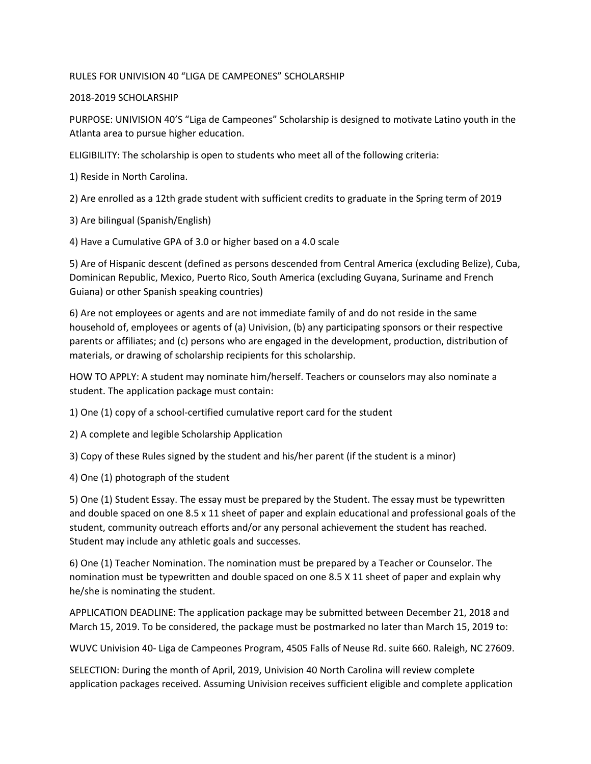# RULES FOR UNIVISION 40 "LIGA DE CAMPEONES" SCHOLARSHIP

# 2018-2019 SCHOLARSHIP

PURPOSE: UNIVISION 40'S "Liga de Campeones" Scholarship is designed to motivate Latino youth in the Atlanta area to pursue higher education.

ELIGIBILITY: The scholarship is open to students who meet all of the following criteria:

1) Reside in North Carolina.

2) Are enrolled as a 12th grade student with sufficient credits to graduate in the Spring term of 2019

3) Are bilingual (Spanish/English)

4) Have a Cumulative GPA of 3.0 or higher based on a 4.0 scale

5) Are of Hispanic descent (defined as persons descended from Central America (excluding Belize), Cuba, Dominican Republic, Mexico, Puerto Rico, South America (excluding Guyana, Suriname and French Guiana) or other Spanish speaking countries)

6) Are not employees or agents and are not immediate family of and do not reside in the same household of, employees or agents of (a) Univision, (b) any participating sponsors or their respective parents or affiliates; and (c) persons who are engaged in the development, production, distribution of materials, or drawing of scholarship recipients for this scholarship.

HOW TO APPLY: A student may nominate him/herself. Teachers or counselors may also nominate a student. The application package must contain:

1) One (1) copy of a school-certified cumulative report card for the student

2) A complete and legible Scholarship Application

3) Copy of these Rules signed by the student and his/her parent (if the student is a minor)

4) One (1) photograph of the student

5) One (1) Student Essay. The essay must be prepared by the Student. The essay must be typewritten and double spaced on one 8.5 x 11 sheet of paper and explain educational and professional goals of the student, community outreach efforts and/or any personal achievement the student has reached. Student may include any athletic goals and successes.

6) One (1) Teacher Nomination. The nomination must be prepared by a Teacher or Counselor. The nomination must be typewritten and double spaced on one 8.5 X 11 sheet of paper and explain why he/she is nominating the student.

APPLICATION DEADLINE: The application package may be submitted between December 21, 2018 and March 15, 2019. To be considered, the package must be postmarked no later than March 15, 2019 to:

WUVC Univision 40- Liga de Campeones Program, 4505 Falls of Neuse Rd. suite 660. Raleigh, NC 27609.

SELECTION: During the month of April, 2019, Univision 40 North Carolina will review complete application packages received. Assuming Univision receives sufficient eligible and complete application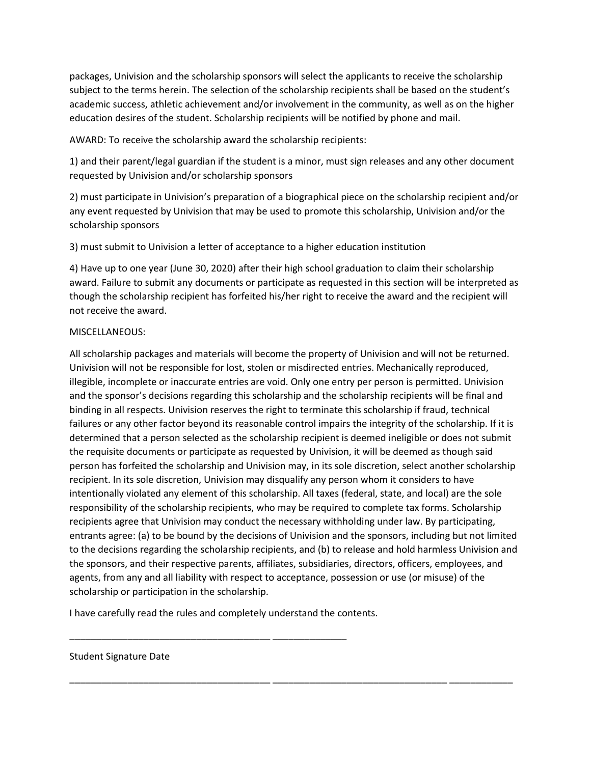packages, Univision and the scholarship sponsors will select the applicants to receive the scholarship subject to the terms herein. The selection of the scholarship recipients shall be based on the student's academic success, athletic achievement and/or involvement in the community, as well as on the higher education desires of the student. Scholarship recipients will be notified by phone and mail.

AWARD: To receive the scholarship award the scholarship recipients:

1) and their parent/legal guardian if the student is a minor, must sign releases and any other document requested by Univision and/or scholarship sponsors

2) must participate in Univision's preparation of a biographical piece on the scholarship recipient and/or any event requested by Univision that may be used to promote this scholarship, Univision and/or the scholarship sponsors

3) must submit to Univision a letter of acceptance to a higher education institution

4) Have up to one year (June 30, 2020) after their high school graduation to claim their scholarship award. Failure to submit any documents or participate as requested in this section will be interpreted as though the scholarship recipient has forfeited his/her right to receive the award and the recipient will not receive the award.

#### MISCELLANEOUS:

All scholarship packages and materials will become the property of Univision and will not be returned. Univision will not be responsible for lost, stolen or misdirected entries. Mechanically reproduced, illegible, incomplete or inaccurate entries are void. Only one entry per person is permitted. Univision and the sponsor's decisions regarding this scholarship and the scholarship recipients will be final and binding in all respects. Univision reserves the right to terminate this scholarship if fraud, technical failures or any other factor beyond its reasonable control impairs the integrity of the scholarship. If it is determined that a person selected as the scholarship recipient is deemed ineligible or does not submit the requisite documents or participate as requested by Univision, it will be deemed as though said person has forfeited the scholarship and Univision may, in its sole discretion, select another scholarship recipient. In its sole discretion, Univision may disqualify any person whom it considers to have intentionally violated any element of this scholarship. All taxes (federal, state, and local) are the sole responsibility of the scholarship recipients, who may be required to complete tax forms. Scholarship recipients agree that Univision may conduct the necessary withholding under law. By participating, entrants agree: (a) to be bound by the decisions of Univision and the sponsors, including but not limited to the decisions regarding the scholarship recipients, and (b) to release and hold harmless Univision and the sponsors, and their respective parents, affiliates, subsidiaries, directors, officers, employees, and agents, from any and all liability with respect to acceptance, possession or use (or misuse) of the scholarship or participation in the scholarship.

\_\_\_\_\_\_\_\_\_\_\_\_\_\_\_\_\_\_\_\_\_\_\_\_\_\_\_\_\_\_\_\_\_\_\_\_\_\_ \_\_\_\_\_\_\_\_\_\_\_\_\_\_\_\_\_\_\_\_\_\_\_\_\_\_\_\_\_\_\_\_\_ \_\_\_\_\_\_\_\_\_\_\_\_

I have carefully read the rules and completely understand the contents.

\_\_\_\_\_\_\_\_\_\_\_\_\_\_\_\_\_\_\_\_\_\_\_\_\_\_\_\_\_\_\_\_\_\_\_\_\_\_ \_\_\_\_\_\_\_\_\_\_\_\_\_\_

#### Student Signature Date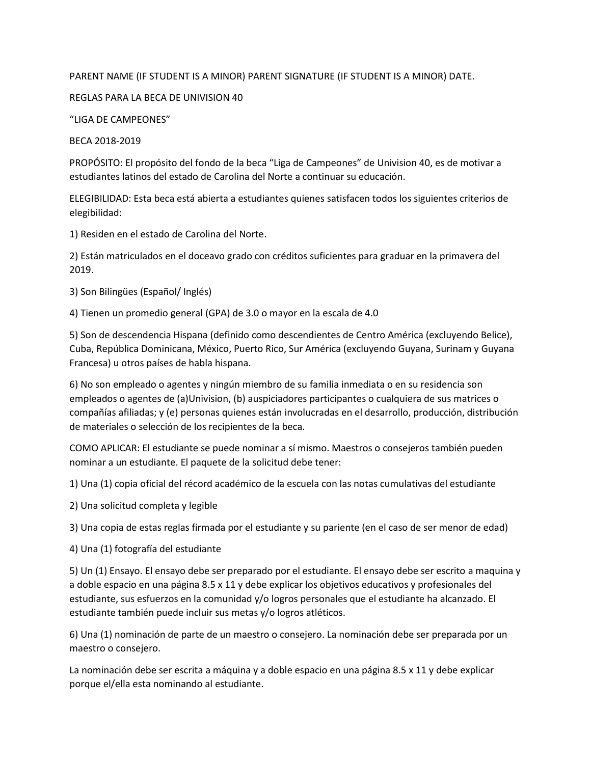# PARENT NAME (IF STUDENT IS A MINOR) PARENT SIGNATURE (IF STUDENT IS A MINOR) DATE.

## REGLAS PARA LA BECA DE UNIVISION 40

## "LIGA DE CAMPEONES"

## BECA 2018-2019

PROPÓSITO: El propósito del fondo de la beca "Liga de Campeones" de Univision 40, es de motivar a estudiantes latinos del estado de Carolina del Norte a continuar su educación.

ELEGIBILIDAD: Esta beca está abierta a estudiantes quienes satisfacen todos los siguientes criterios de elegibilidad:

1) Residen en el estado de Carolina del Norte.

2) Están matriculados en el doceavo grado con créditos suficientes para graduar en la primavera del 2019.

3) Son Bilingües (Español/ Inglés)

4) Tienen un promedio general (GPA) de 3.0 o mayor en la escala de 4.0

5) Son de descendencia Hispana (definido como descendientes de Centro América (excluyendo Belice), Cuba, República Dominicana, México, Puerto Rico, Sur América (excluyendo Guyana, Surinam y Guyana Francesa) u otros países de habla hispana.

6) No son empleado o agentes y ningún miembro de su familia inmediata o en su residencia son empleados o agentes de (a)Univision, (b) auspiciadores participantes o cualquiera de sus matrices o compañías afiliadas; y (e) personas quienes están involucradas en el desarrollo, producción, distribución de materiales o selección de los recipientes de la beca.

COMO APLICAR: El estudiante se puede nominar a sí mismo. Maestros o consejeros también pueden nominar a un estudiante. El paquete de la solicitud debe tener:

1) Una (1) copia oficial del récord académico de la escuela con las notas cumulativas del estudiante

2) Una solicitud completa y legible

3) Una copia de estas reglas firmada por el estudiante y su pariente (en el caso de ser menor de edad)

4) Una (1) fotografía del estudiante

5) Un (1) Ensayo. El ensayo debe ser preparado por el estudiante. El ensayo debe ser escrito a maquina y a doble espacio en una página 8.5 x 11 y debe explicar los objetivos educativos y profesionales del estudiante, sus esfuerzos en la comunidad y/o logros personales que el estudiante ha alcanzado. El estudiante también puede incluir sus metas y/o logros atléticos.

6) Una (1) nominación de parte de un maestro o consejero. La nominación debe ser preparada por un maestro o consejero.

La nominación debe ser escrita a máquina y a doble espacio en una página 8.5 x 11 y debe explicar porque el/ella esta nominando al estudiante.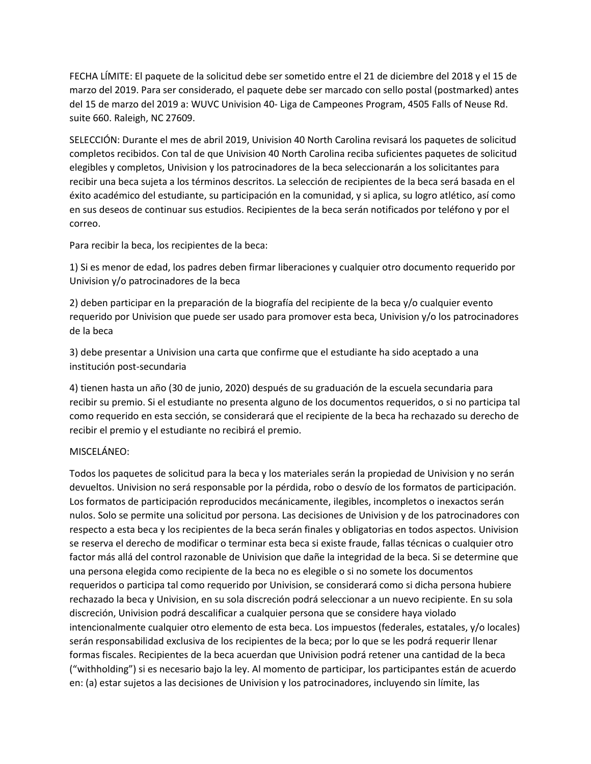FECHA LÍMITE: El paquete de la solicitud debe ser sometido entre el 21 de diciembre del 2018 y el 15 de marzo del 2019. Para ser considerado, el paquete debe ser marcado con sello postal (postmarked) antes del 15 de marzo del 2019 a: WUVC Univision 40- Liga de Campeones Program, 4505 Falls of Neuse Rd. suite 660. Raleigh, NC 27609.

SELECCIÓN: Durante el mes de abril 2019, Univision 40 North Carolina revisará los paquetes de solicitud completos recibidos. Con tal de que Univision 40 North Carolina reciba suficientes paquetes de solicitud elegibles y completos, Univision y los patrocinadores de la beca seleccionarán a los solicitantes para recibir una beca sujeta a los términos descritos. La selección de recipientes de la beca será basada en el éxito académico del estudiante, su participación en la comunidad, y si aplica, su logro atlético, así como en sus deseos de continuar sus estudios. Recipientes de la beca serán notificados por teléfono y por el correo.

Para recibir la beca, los recipientes de la beca:

1) Si es menor de edad, los padres deben firmar liberaciones y cualquier otro documento requerido por Univision y/o patrocinadores de la beca

2) deben participar en la preparación de la biografía del recipiente de la beca y/o cualquier evento requerido por Univision que puede ser usado para promover esta beca, Univision y/o los patrocinadores de la beca

3) debe presentar a Univision una carta que confirme que el estudiante ha sido aceptado a una institución post-secundaria

4) tienen hasta un año (30 de junio, 2020) después de su graduación de la escuela secundaria para recibir su premio. Si el estudiante no presenta alguno de los documentos requeridos, o si no participa tal como requerido en esta sección, se considerará que el recipiente de la beca ha rechazado su derecho de recibir el premio y el estudiante no recibirá el premio.

#### MISCELÁNEO:

Todos los paquetes de solicitud para la beca y los materiales serán la propiedad de Univision y no serán devueltos. Univision no será responsable por la pérdida, robo o desvío de los formatos de participación. Los formatos de participación reproducidos mecánicamente, ilegibles, incompletos o inexactos serán nulos. Solo se permite una solicitud por persona. Las decisiones de Univision y de los patrocinadores con respecto a esta beca y los recipientes de la beca serán finales y obligatorias en todos aspectos. Univision se reserva el derecho de modificar o terminar esta beca si existe fraude, fallas técnicas o cualquier otro factor más allá del control razonable de Univision que dañe la integridad de la beca. Si se determine que una persona elegida como recipiente de la beca no es elegible o si no somete los documentos requeridos o participa tal como requerido por Univision, se considerará como si dicha persona hubiere rechazado la beca y Univision, en su sola discreción podrá seleccionar a un nuevo recipiente. En su sola discreción, Univision podrá descalificar a cualquier persona que se considere haya violado intencionalmente cualquier otro elemento de esta beca. Los impuestos (federales, estatales, y/o locales) serán responsabilidad exclusiva de los recipientes de la beca; por lo que se les podrá requerir llenar formas fiscales. Recipientes de la beca acuerdan que Univision podrá retener una cantidad de la beca ("withholding") si es necesario bajo la ley. Al momento de participar, los participantes están de acuerdo en: (a) estar sujetos a las decisiones de Univision y los patrocinadores, incluyendo sin límite, las